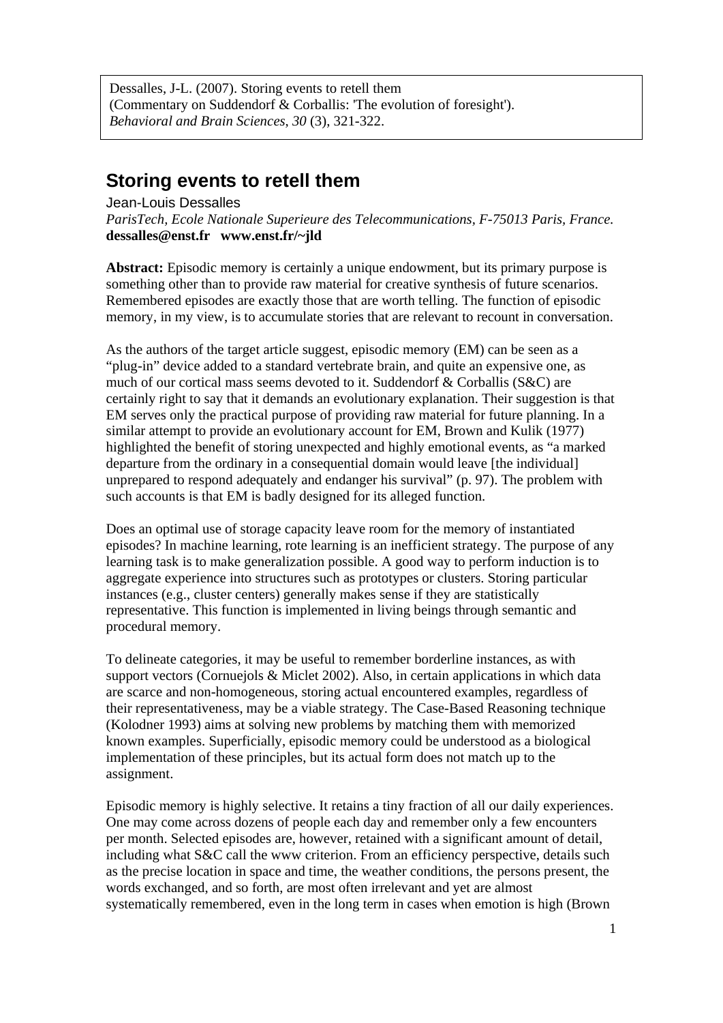Dessalles, J-L. (2007). Storing events to retell them (Commentary on Suddendorf & Corballis: 'The evolution of foresight'). *Behavioral and Brain Sciences*, *30* (3), 321-322.

## **Storing events to retell them**

## Jean-Louis Dessalles

*ParisTech, Ecole Nationale Superieure des Telecommunications, F-75013 Paris, France.* **dessalles@enst.fr www.enst.fr/~jld** 

**Abstract:** Episodic memory is certainly a unique endowment, but its primary purpose is something other than to provide raw material for creative synthesis of future scenarios. Remembered episodes are exactly those that are worth telling. The function of episodic memory, in my view, is to accumulate stories that are relevant to recount in conversation.

As the authors of the target article suggest, episodic memory (EM) can be seen as a "plug-in" device added to a standard vertebrate brain, and quite an expensive one, as much of our cortical mass seems devoted to it. Suddendorf & Corballis (S&C) are certainly right to say that it demands an evolutionary explanation. Their suggestion is that EM serves only the practical purpose of providing raw material for future planning. In a similar attempt to provide an evolutionary account for EM, Brown and Kulik (1977) highlighted the benefit of storing unexpected and highly emotional events, as "a marked departure from the ordinary in a consequential domain would leave [the individual] unprepared to respond adequately and endanger his survival" (p. 97). The problem with such accounts is that EM is badly designed for its alleged function.

Does an optimal use of storage capacity leave room for the memory of instantiated episodes? In machine learning, rote learning is an inefficient strategy. The purpose of any learning task is to make generalization possible. A good way to perform induction is to aggregate experience into structures such as prototypes or clusters. Storing particular instances (e.g., cluster centers) generally makes sense if they are statistically representative. This function is implemented in living beings through semantic and procedural memory.

To delineate categories, it may be useful to remember borderline instances, as with support vectors (Cornuejols & Miclet 2002). Also, in certain applications in which data are scarce and non-homogeneous, storing actual encountered examples, regardless of their representativeness, may be a viable strategy. The Case-Based Reasoning technique (Kolodner 1993) aims at solving new problems by matching them with memorized known examples. Superficially, episodic memory could be understood as a biological implementation of these principles, but its actual form does not match up to the assignment.

Episodic memory is highly selective. It retains a tiny fraction of all our daily experiences. One may come across dozens of people each day and remember only a few encounters per month. Selected episodes are, however, retained with a significant amount of detail, including what S&C call the www criterion. From an efficiency perspective, details such as the precise location in space and time, the weather conditions, the persons present, the words exchanged, and so forth, are most often irrelevant and yet are almost systematically remembered, even in the long term in cases when emotion is high (Brown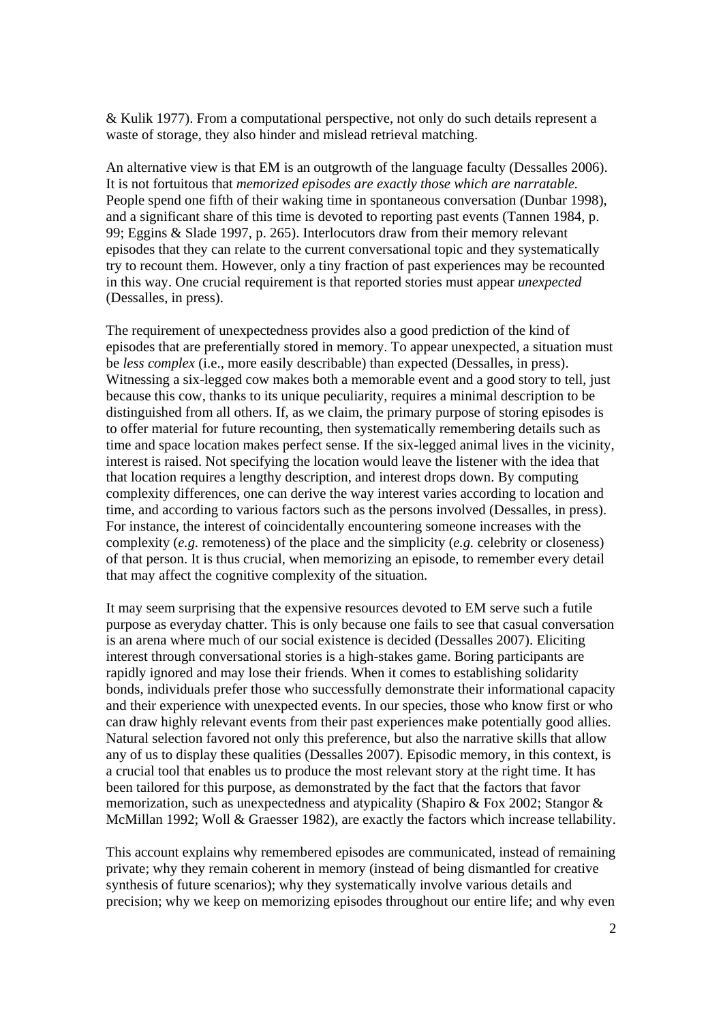& Kulik 1977). From a computational perspective, not only do such details represent a waste of storage, they also hinder and mislead retrieval matching.

An alternative view is that EM is an outgrowth of the language faculty (Dessalles 2006). It is not fortuitous that *memorized episodes are exactly those which are narratable.* People spend one fifth of their waking time in spontaneous conversation (Dunbar 1998), and a significant share of this time is devoted to reporting past events (Tannen 1984, p. 99; Eggins & Slade 1997, p. 265). Interlocutors draw from their memory relevant episodes that they can relate to the current conversational topic and they systematically try to recount them. However, only a tiny fraction of past experiences may be recounted in this way. One crucial requirement is that reported stories must appear *unexpected* (Dessalles, in press).

The requirement of unexpectedness provides also a good prediction of the kind of episodes that are preferentially stored in memory. To appear unexpected, a situation must be *less complex* (i.e., more easily describable) than expected (Dessalles, in press). Witnessing a six-legged cow makes both a memorable event and a good story to tell, just because this cow, thanks to its unique peculiarity, requires a minimal description to be distinguished from all others. If, as we claim, the primary purpose of storing episodes is to offer material for future recounting, then systematically remembering details such as time and space location makes perfect sense. If the six-legged animal lives in the vicinity, interest is raised. Not specifying the location would leave the listener with the idea that that location requires a lengthy description, and interest drops down. By computing complexity differences, one can derive the way interest varies according to location and time, and according to various factors such as the persons involved (Dessalles, in press). For instance, the interest of coincidentally encountering someone increases with the complexity (*e.g.* remoteness) of the place and the simplicity (*e.g.* celebrity or closeness) of that person. It is thus crucial, when memorizing an episode, to remember every detail that may affect the cognitive complexity of the situation.

It may seem surprising that the expensive resources devoted to EM serve such a futile purpose as everyday chatter. This is only because one fails to see that casual conversation is an arena where much of our social existence is decided (Dessalles 2007). Eliciting interest through conversational stories is a high-stakes game. Boring participants are rapidly ignored and may lose their friends. When it comes to establishing solidarity bonds, individuals prefer those who successfully demonstrate their informational capacity and their experience with unexpected events. In our species, those who know first or who can draw highly relevant events from their past experiences make potentially good allies. Natural selection favored not only this preference, but also the narrative skills that allow any of us to display these qualities (Dessalles 2007). Episodic memory, in this context, is a crucial tool that enables us to produce the most relevant story at the right time. It has been tailored for this purpose, as demonstrated by the fact that the factors that favor memorization, such as unexpectedness and atypicality (Shapiro & Fox 2002; Stangor & McMillan 1992; Woll & Graesser 1982), are exactly the factors which increase tellability.

This account explains why remembered episodes are communicated, instead of remaining private; why they remain coherent in memory (instead of being dismantled for creative synthesis of future scenarios); why they systematically involve various details and precision; why we keep on memorizing episodes throughout our entire life; and why even